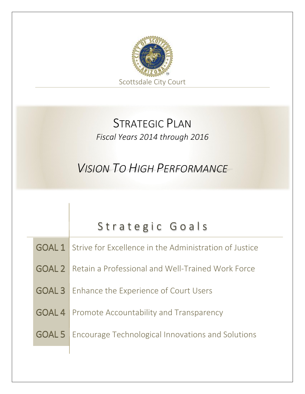

#### STRATEGIC PLAN *Fiscal Years 2014 through 2016*

*VISION TO HIGH PERFORMANCE*

|  | Strategic Goals                                                      |
|--|----------------------------------------------------------------------|
|  |                                                                      |
|  | <b>GOAL 1</b> Strive for Excellence in the Administration of Justice |
|  |                                                                      |
|  | <b>GOAL 2</b> Retain a Professional and Well-Trained Work Force      |
|  | <b>GOAL 3</b> Enhance the Experience of Court Users                  |
|  |                                                                      |
|  | <b>GOAL 4</b> Promote Accountability and Transparency                |
|  |                                                                      |
|  | <b>GOAL 5</b> Encourage Technological Innovations and Solutions      |
|  |                                                                      |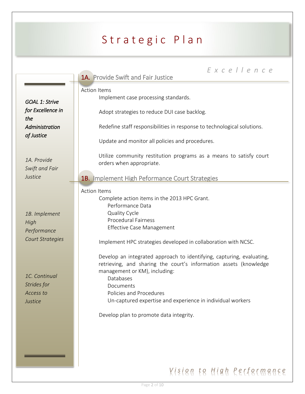|                                                                 | Excellence<br><b>1A.</b> Provide Swift and Fair Justice                                                                                                                                                                                                                                                                                   |
|-----------------------------------------------------------------|-------------------------------------------------------------------------------------------------------------------------------------------------------------------------------------------------------------------------------------------------------------------------------------------------------------------------------------------|
| <b>GOAL 1: Strive</b><br>for Excellence in                      | <b>Action Items</b><br>Implement case processing standards.<br>Adopt strategies to reduce DUI case backlog.                                                                                                                                                                                                                               |
| the<br>Administration<br>of Justice                             | Redefine staff responsibilities in response to technological solutions.<br>Update and monitor all policies and procedures.                                                                                                                                                                                                                |
| 1A. Provide<br>Swift and Fair                                   | Utilize community restitution programs as a means to satisfy court<br>orders when appropriate.                                                                                                                                                                                                                                            |
| Justice                                                         | <b>1B.</b> Implement High Peformance Court Strategies                                                                                                                                                                                                                                                                                     |
| 1B. Implement<br>High<br>Performance<br><b>Court Strategies</b> | <b>Action Items</b><br>Complete action items in the 2013 HPC Grant.<br>Performance Data<br>Quality Cycle<br><b>Procedural Fairness</b><br><b>Effective Case Management</b><br>Implement HPC strategies developed in collaboration with NCSC.                                                                                              |
| 1C. Continual<br>Strides for<br>Access to<br>Justice            | Develop an integrated approach to identifying, capturing, evaluating,<br>retrieving, and sharing the court's information assets (knowledge<br>management or KM), including:<br>Databases<br>Documents<br>Policies and Procedures<br>Un-captured expertise and experience in individual workers<br>Develop plan to promote data integrity. |
|                                                                 |                                                                                                                                                                                                                                                                                                                                           |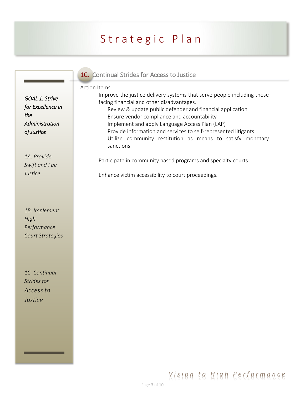| <b>1C.</b> Continual Strides for Access to Justice |  |  |  |
|----------------------------------------------------|--|--|--|
|                                                    |  |  |  |

#### Action Items

Improve the justice delivery systems that serve people including those facing financial and other disadvantages. Review & update public defender and financial application Ensure vendor compliance and accountability Implement and apply Language Access Plan (LAP) Provide information and services to self-represented litigants Utilize community restitution as means to satisfy monetary sanctions

Participate in community based programs and specialty courts.

Enhance victim accessibility to court proceedings.

*GOAL 1: Strive for Excellence in the Administration of Justice* 

*1A. Provide Swift and Fair Justice*

*1B. Implement High Performance Court Strategies*

*1C. Continual Strides for Access to Justice*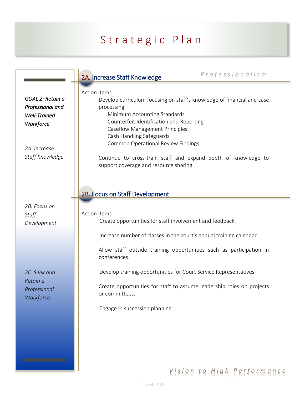|                                                                                                             | Professionalism                                                                                                                                                                                                                                                                                                                                                                                                        |
|-------------------------------------------------------------------------------------------------------------|------------------------------------------------------------------------------------------------------------------------------------------------------------------------------------------------------------------------------------------------------------------------------------------------------------------------------------------------------------------------------------------------------------------------|
|                                                                                                             | 2A. Increase Staff Knowledge                                                                                                                                                                                                                                                                                                                                                                                           |
| GOAL 2: Retain a<br>Professional and<br><b>Well-Trained</b><br>Workforce<br>2A. Increase<br>Staff Knowledge | <b>Action Items</b><br>Develop curriculum focusing on staff's knowledge of financial and case<br>processing.<br>Minimum Accounting Standards<br>Counterfeit Identification and Reporting<br><b>Caseflow Management Principles</b><br>Cash Handling Safeguards<br><b>Common Operational Review Findings</b><br>Continue to cross-train staff and expand depth of knowledge to<br>support coverage and resource sharing. |
| 2B. Focus on<br>Staff<br>Development                                                                        | 2B. Focus on Staff Development<br><b>Action Items</b><br>Create opportunities for staff involvement and feedback.                                                                                                                                                                                                                                                                                                      |
|                                                                                                             | Increase number of classes in the court's annual training calendar.                                                                                                                                                                                                                                                                                                                                                    |
|                                                                                                             | Allow staff outside training opportunities such as participation in<br>conferences.                                                                                                                                                                                                                                                                                                                                    |
| 2C. Seek and<br>Retain a                                                                                    | Develop training opportunities for Court Service Representatives.                                                                                                                                                                                                                                                                                                                                                      |
| Professional<br>Workforce                                                                                   | Create opportunities for staff to assume leadership roles on projects<br>or committees.                                                                                                                                                                                                                                                                                                                                |
|                                                                                                             | Engage in succession planning.                                                                                                                                                                                                                                                                                                                                                                                         |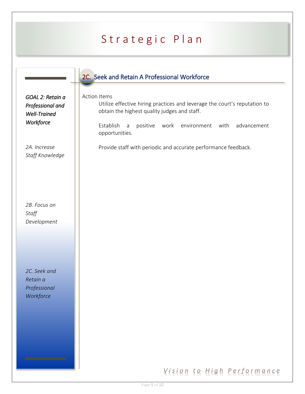| GOAL 2: Retain a<br>Professional and<br><b>Well-Trained</b><br>Workforce | 2C. Seek and Retain A Professional Workforce<br><b>Action Items</b><br>Utilize effective hiring practices and leverage the court's reputation to<br>obtain the highest quality judges and staff.<br>Establish<br>positive<br>environment<br>with<br>advancement<br>work<br>$\mathsf{a}$ |
|--------------------------------------------------------------------------|-----------------------------------------------------------------------------------------------------------------------------------------------------------------------------------------------------------------------------------------------------------------------------------------|
| 2A. Increase<br>Staff Knowledge                                          | opportunities.<br>Provide staff with periodic and accurate performance feedback.                                                                                                                                                                                                        |
| 2B. Focus on<br>Staff<br>Development                                     |                                                                                                                                                                                                                                                                                         |
| 2C. Seek and<br>Retain a<br>Professional<br>Workforce                    |                                                                                                                                                                                                                                                                                         |
|                                                                          | Kisien te High Rerfermance                                                                                                                                                                                                                                                              |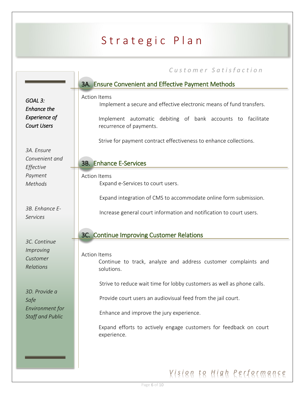|                                                                  | Customer Satisfaction                                                                                                                                      |
|------------------------------------------------------------------|------------------------------------------------------------------------------------------------------------------------------------------------------------|
|                                                                  | 3A. Ensure Convenient and Effective Payment Methods                                                                                                        |
| GOAL <sub>3:</sub><br><b>Enhance the</b><br><b>Experience of</b> | <b>Action Items</b><br>Implement a secure and effective electronic means of fund transfers.<br>Implement automatic debiting of bank accounts to facilitate |
| <b>Court Users</b>                                               | recurrence of payments.                                                                                                                                    |
|                                                                  | Strive for payment contract effectiveness to enhance collections.                                                                                          |
| 3A. Ensure<br>Convenient and<br>Effective                        | <b>3B. Enhance E-Services</b>                                                                                                                              |
| Payment                                                          | <b>Action Items</b>                                                                                                                                        |
| Methods                                                          | Expand e-Services to court users.                                                                                                                          |
|                                                                  | Expand integration of CMS to accommodate online form submission.                                                                                           |
| 3B. Enhance E-<br><b>Services</b>                                | Increase general court information and notification to court users.                                                                                        |
|                                                                  | 3C. Continue Improving Customer Relations                                                                                                                  |
| 3C. Continue                                                     |                                                                                                                                                            |
| Improving<br>Customer<br>Relations                               | <b>Action Items</b><br>Continue to track, analyze and address customer complaints and<br>solutions.                                                        |
|                                                                  | Strive to reduce wait time for lobby customers as well as phone calls.                                                                                     |
| 3D. Provide a<br>Safe                                            | Provide court users an audiovisual feed from the jail court.                                                                                               |
| Environment for<br><b>Staff and Public</b>                       | Enhance and improve the jury experience.                                                                                                                   |
|                                                                  | Expand efforts to actively engage customers for feedback on court<br>experience.                                                                           |
|                                                                  |                                                                                                                                                            |
|                                                                  |                                                                                                                                                            |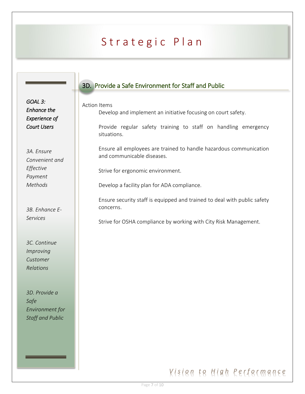|                                                                             | 3D. Provide a Safe Environment for Staff and Public                                                                                                                                  |
|-----------------------------------------------------------------------------|--------------------------------------------------------------------------------------------------------------------------------------------------------------------------------------|
| GOAL 3:<br><b>Enhance the</b><br><b>Experience of</b><br><b>Court Users</b> | <b>Action Items</b><br>Develop and implement an initiative focusing on court safety.<br>Provide regular safety training to staff on handling emergency<br>situations.                |
| 3A. Ensure<br>Convenient and<br>Effective<br>Payment<br><b>Methods</b>      | Ensure all employees are trained to handle hazardous communication<br>and communicable diseases.<br>Strive for ergonomic environment.<br>Develop a facility plan for ADA compliance. |
| 3B. Enhance E-<br><b>Services</b>                                           | Ensure security staff is equipped and trained to deal with public safety<br>concerns.<br>Strive for OSHA compliance by working with City Risk Management.                            |
| 3C. Continue<br>Improving<br>Customer<br>Relations                          |                                                                                                                                                                                      |
| 3D. Provide a<br>Safe<br>Environment for<br>Staff and Public                |                                                                                                                                                                                      |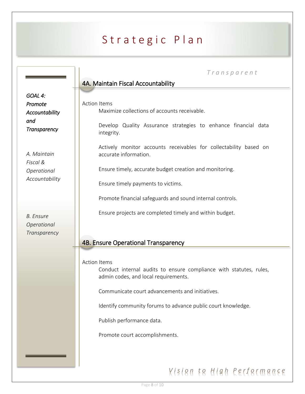*T r a n s p a r e n t*

#### 4A. Maintain Fiscal Accountability

*GOAL 4: Promote Accountability and Transparency* 

*A. Maintain Fiscal & Operational Accountability*

*B. Ensure Operational Transparency* Action Items Maximize collections of accounts receivable.

> Develop Quality Assurance strategies to enhance financial data integrity.

Actively monitor accounts receivables for collectability based on accurate information.

Ensure timely, accurate budget creation and monitoring.

Ensure timely payments to victims.

Promote financial safeguards and sound internal controls.

Ensure projects are completed timely and within budget.

#### 4B. Ensure Operational Transparency

Action Items

Conduct internal audits to ensure compliance with statutes, rules, admin codes, and local requirements.

Communicate court advancements and initiatives.

Identify community forums to advance public court knowledge.

Publish performance data.

Promote court accomplishments.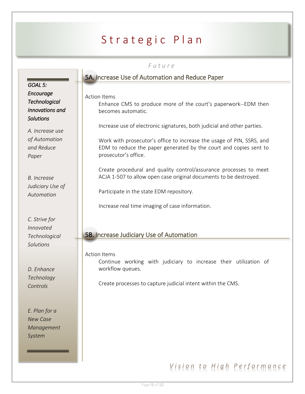#### *F u t u r e*

|                      | <u>ULUI</u> C                                                           |
|----------------------|-------------------------------------------------------------------------|
|                      | 5A. Increase Use of Automation and Reduce Paper                         |
| GOAL 5:              |                                                                         |
| Encourage            | <b>Action Items</b>                                                     |
| <b>Technological</b> | Enhance CMS to produce more of the court's paperwork--EDM then          |
| Innovations and      | becomes automatic.                                                      |
| <b>Solutions</b>     |                                                                         |
| A. Increase use      | Increase use of electronic signatures, both judicial and other parties. |
| of Automation        | Work with prosecutor's office to increase the usage of PIN, SSRS, and   |
| and Reduce           | EDM to reduce the paper generated by the court and copies sent to       |
| Paper                | prosecutor's office.                                                    |
|                      |                                                                         |
|                      | Create procedural and quality control/assurance processes to meet       |
| <b>B.</b> Increase   | ACJA 1-507 to allow open case original documents to be destroyed.       |
| Judiciary Use of     |                                                                         |
| Automation           | Participate in the state EDM repository.                                |
|                      | Increase real time imaging of case information.                         |
|                      |                                                                         |
| C. Strive for        |                                                                         |
| <b>Innovated</b>     |                                                                         |
| Technological        | <b>5B. Increase Judiciary Use of Automation</b>                         |
| Solutions            |                                                                         |
|                      | <b>Action Items</b>                                                     |
|                      | Continue working with judiciary to increase their utilization of        |
| D. Enhance           | workflow queues.                                                        |
| Technology           |                                                                         |
| Controls             | Create processes to capture judicial intent within the CMS.             |

*E. Plan for a New Case Management System*